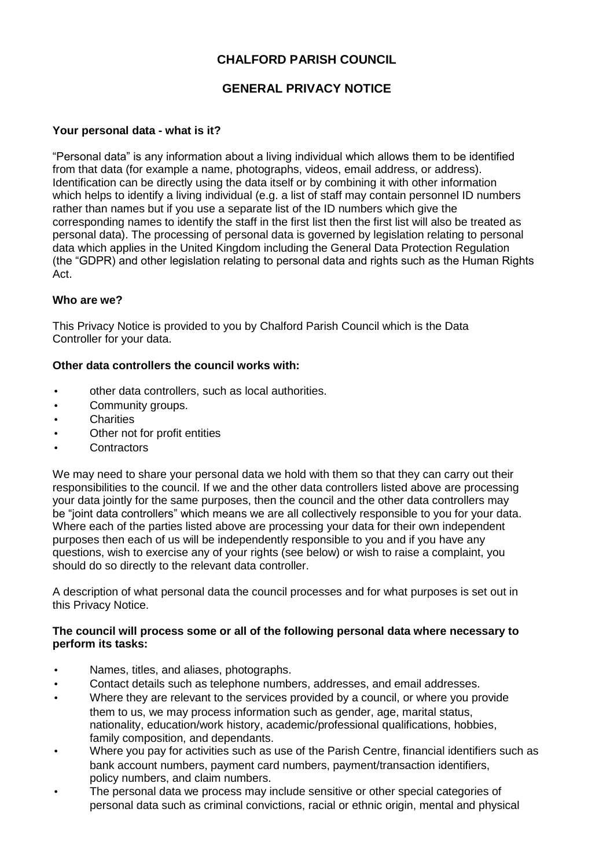# **CHALFORD PARISH COUNCIL**

# **GENERAL PRIVACY NOTICE**

# **Your personal data - what is it?**

"Personal data" is any information about a living individual which allows them to be identified from that data (for example a name, photographs, videos, email address, or address). Identification can be directly using the data itself or by combining it with other information which helps to identify a living individual (e.g. a list of staff may contain personnel ID numbers rather than names but if you use a separate list of the ID numbers which give the corresponding names to identify the staff in the first list then the first list will also be treated as personal data). The processing of personal data is governed by legislation relating to personal data which applies in the United Kingdom including the General Data Protection Regulation (the "GDPR) and other legislation relating to personal data and rights such as the Human Rights Act.

## **Who are we?**

This Privacy Notice is provided to you by Chalford Parish Council which is the Data Controller for your data.

## **Other data controllers the council works with:**

- other data controllers, such as local authorities.
- Community groups.
- **Charities**
- Other not for profit entities
- Contractors

We may need to share your personal data we hold with them so that they can carry out their responsibilities to the council. If we and the other data controllers listed above are processing your data jointly for the same purposes, then the council and the other data controllers may be "joint data controllers" which means we are all collectively responsible to you for your data. Where each of the parties listed above are processing your data for their own independent purposes then each of us will be independently responsible to you and if you have any questions, wish to exercise any of your rights (see below) or wish to raise a complaint, you should do so directly to the relevant data controller.

A description of what personal data the council processes and for what purposes is set out in this Privacy Notice.

#### **The council will process some or all of the following personal data where necessary to perform its tasks:**

- Names, titles, and aliases, photographs.
- Contact details such as telephone numbers, addresses, and email addresses.
- Where they are relevant to the services provided by a council, or where you provide them to us, we may process information such as gender, age, marital status, nationality, education/work history, academic/professional qualifications, hobbies, family composition, and dependants.
- Where you pay for activities such as use of the Parish Centre, financial identifiers such as bank account numbers, payment card numbers, payment/transaction identifiers, policy numbers, and claim numbers.
- The personal data we process may include sensitive or other special categories of personal data such as criminal convictions, racial or ethnic origin, mental and physical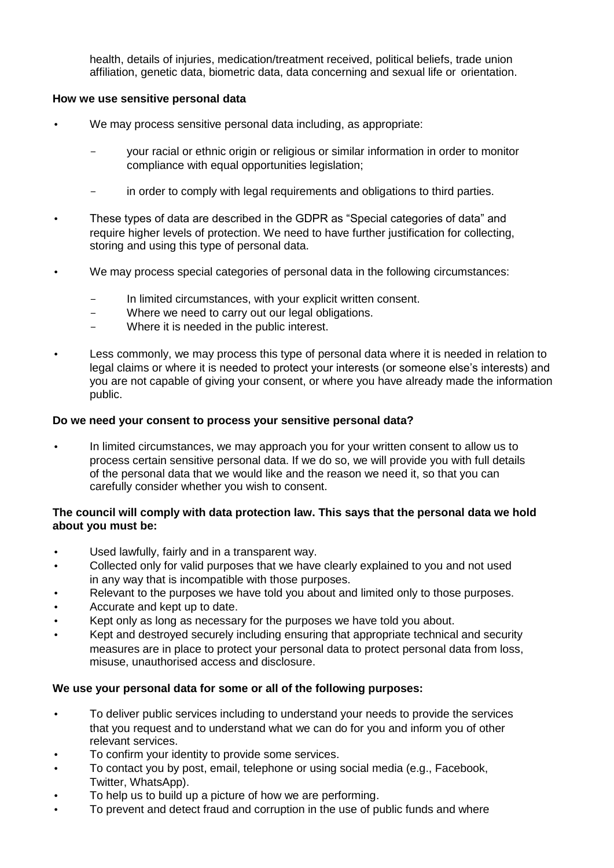health, details of injuries, medication/treatment received, political beliefs, trade union affiliation, genetic data, biometric data, data concerning and sexual life or orientation.

#### **How we use sensitive personal data**

- We may process sensitive personal data including, as appropriate:
	- your racial or ethnic origin or religious or similar information in order to monitor compliance with equal opportunities legislation;
	- in order to comply with legal requirements and obligations to third parties.
- These types of data are described in the GDPR as "Special categories of data" and require higher levels of protection. We need to have further justification for collecting, storing and using this type of personal data.
- We may process special categories of personal data in the following circumstances:
	- In limited circumstances, with your explicit written consent.
	- Where we need to carry out our legal obligations.
	- Where it is needed in the public interest.
- Less commonly, we may process this type of personal data where it is needed in relation to legal claims or where it is needed to protect your interests (or someone else's interests) and you are not capable of giving your consent, or where you have already made the information public.

## **Do we need your consent to process your sensitive personal data?**

• In limited circumstances, we may approach you for your written consent to allow us to process certain sensitive personal data. If we do so, we will provide you with full details of the personal data that we would like and the reason we need it, so that you can carefully consider whether you wish to consent.

## **The council will comply with data protection law. This says that the personal data we hold about you must be:**

- Used lawfully, fairly and in a transparent way.
- Collected only for valid purposes that we have clearly explained to you and not used in any way that is incompatible with those purposes.
- Relevant to the purposes we have told you about and limited only to those purposes.
- Accurate and kept up to date.
- Kept only as long as necessary for the purposes we have told you about.
- Kept and destroyed securely including ensuring that appropriate technical and security measures are in place to protect your personal data to protect personal data from loss, misuse, unauthorised access and disclosure.

#### **We use your personal data for some or all of the following purposes:**

- To deliver public services including to understand your needs to provide the services that you request and to understand what we can do for you and inform you of other relevant services.
- To confirm your identity to provide some services.
- To contact you by post, email, telephone or using social media (e.g., Facebook, Twitter, WhatsApp).
- To help us to build up a picture of how we are performing.
- To prevent and detect fraud and corruption in the use of public funds and where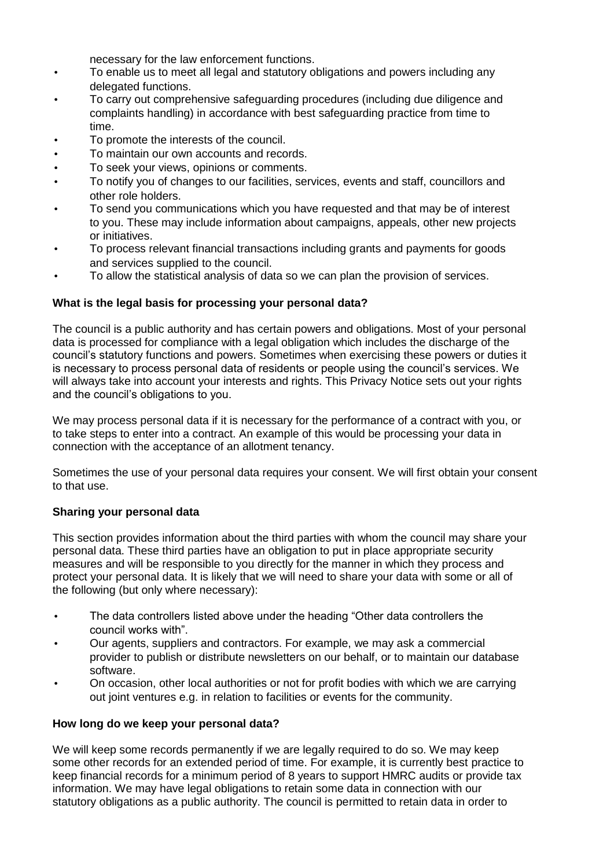necessary for the law enforcement functions.

- To enable us to meet all legal and statutory obligations and powers including any delegated functions.
- To carry out comprehensive safeguarding procedures (including due diligence and complaints handling) in accordance with best safeguarding practice from time to time.
- To promote the interests of the council.
- To maintain our own accounts and records.
- To seek your views, opinions or comments.
- To notify you of changes to our facilities, services, events and staff, councillors and other role holders.
- To send you communications which you have requested and that may be of interest to you. These may include information about campaigns, appeals, other new projects or initiatives.
- To process relevant financial transactions including grants and payments for goods and services supplied to the council.
- To allow the statistical analysis of data so we can plan the provision of services.

## **What is the legal basis for processing your personal data?**

The council is a public authority and has certain powers and obligations. Most of your personal data is processed for compliance with a legal obligation which includes the discharge of the council's statutory functions and powers. Sometimes when exercising these powers or duties it is necessary to process personal data of residents or people using the council's services. We will always take into account your interests and rights. This Privacy Notice sets out your rights and the council's obligations to you.

We may process personal data if it is necessary for the performance of a contract with you, or to take steps to enter into a contract. An example of this would be processing your data in connection with the acceptance of an allotment tenancy.

Sometimes the use of your personal data requires your consent. We will first obtain your consent to that use.

## **Sharing your personal data**

This section provides information about the third parties with whom the council may share your personal data. These third parties have an obligation to put in place appropriate security measures and will be responsible to you directly for the manner in which they process and protect your personal data. It is likely that we will need to share your data with some or all of the following (but only where necessary):

- The data controllers listed above under the heading "Other data controllers the council works with".
- Our agents, suppliers and contractors. For example, we may ask a commercial provider to publish or distribute newsletters on our behalf, or to maintain our database software.
- On occasion, other local authorities or not for profit bodies with which we are carrying out joint ventures e.g. in relation to facilities or events for the community.

## **How long do we keep your personal data?**

We will keep some records permanently if we are legally required to do so. We may keep some other records for an extended period of time. For example, it is currently best practice to keep financial records for a minimum period of 8 years to support HMRC audits or provide tax information. We may have legal obligations to retain some data in connection with our statutory obligations as a public authority. The council is permitted to retain data in order to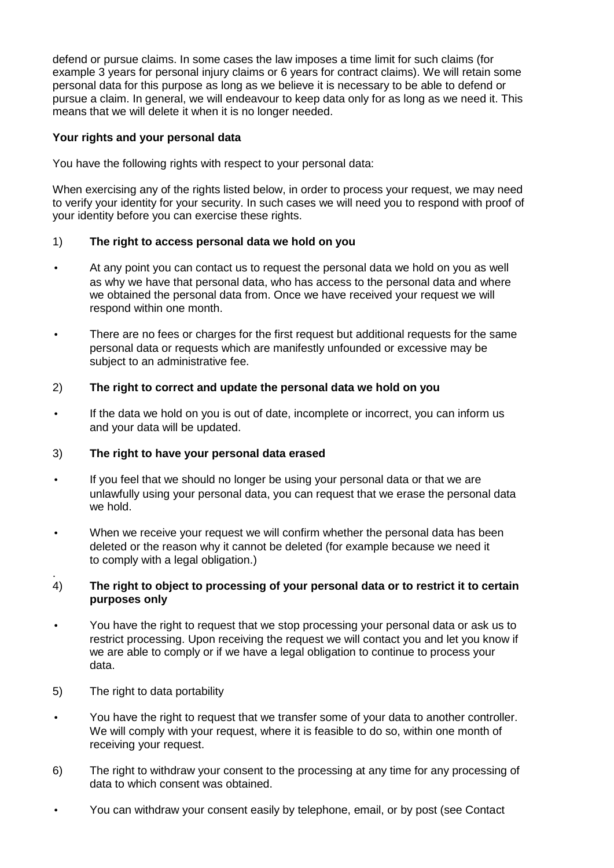defend or pursue claims. In some cases the law imposes a time limit for such claims (for example 3 years for personal injury claims or 6 years for contract claims). We will retain some personal data for this purpose as long as we believe it is necessary to be able to defend or pursue a claim. In general, we will endeavour to keep data only for as long as we need it. This means that we will delete it when it is no longer needed.

## **Your rights and your personal data**

You have the following rights with respect to your personal data:

When exercising any of the rights listed below, in order to process your request, we may need to verify your identity for your security. In such cases we will need you to respond with proof of your identity before you can exercise these rights.

# 1) **The right to access personal data we hold on you**

- At any point you can contact us to request the personal data we hold on you as well as why we have that personal data, who has access to the personal data and where we obtained the personal data from. Once we have received your request we will respond within one month.
- There are no fees or charges for the first request but additional requests for the same personal data or requests which are manifestly unfounded or excessive may be subject to an administrative fee.

# 2) **The right to correct and update the personal data we hold on you**

• If the data we hold on you is out of date, incomplete or incorrect, you can inform us and your data will be updated.

## 3) **The right to have your personal data erased**

- If you feel that we should no longer be using your personal data or that we are unlawfully using your personal data, you can request that we erase the personal data we hold.
- When we receive your request we will confirm whether the personal data has been deleted or the reason why it cannot be deleted (for example because we need it to comply with a legal obligation.)

#### . 4) **The right to object to processing of your personal data or to restrict it to certain purposes only**

- You have the right to request that we stop processing your personal data or ask us to restrict processing. Upon receiving the request we will contact you and let you know if we are able to comply or if we have a legal obligation to continue to process your data.
- 5) The right to data portability
- You have the right to request that we transfer some of your data to another controller. We will comply with your request, where it is feasible to do so, within one month of receiving your request.
- 6) The right to withdraw your consent to the processing at any time for any processing of data to which consent was obtained.
- You can withdraw your consent easily by telephone, email, or by post (see Contact